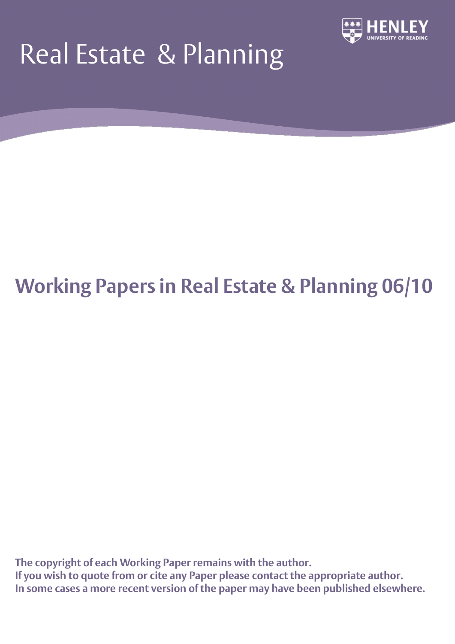# Real Estate & Planning



# **Working Papers in Real Estate & Planning 06/10**

**The copyright of each Working Paper remains with the author. If you wish to quote from or cite any Paper please contact the appropriate author. In some cases a more recent version of the paper may have been published elsewhere.**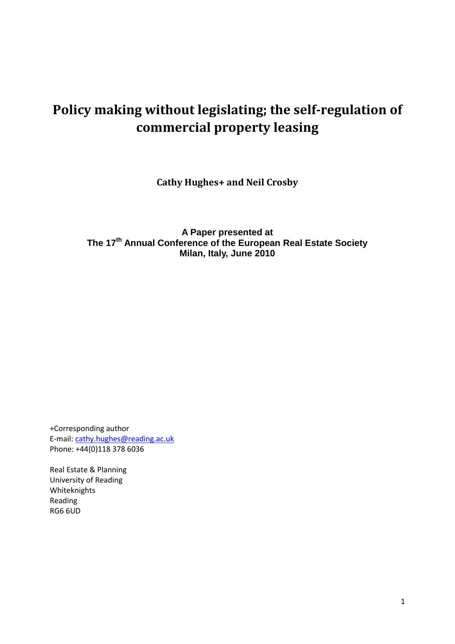# **Policy making without legislating; the self-regulation of commercial property leasing**

**Cathy Hughes+ and Neil Crosby**

#### **A Paper presented at The 17th Annual Conference of the European Real Estate Society Milan, Italy, June 2010**

+Corresponding author E-mail[: cathy.hughes@reading.ac.uk](mailto:cathy.hughes@reading.ac.uk) Phone: +44(0)118 378 6036

Real Estate & Planning University of Reading Whiteknights Reading RG6 6UD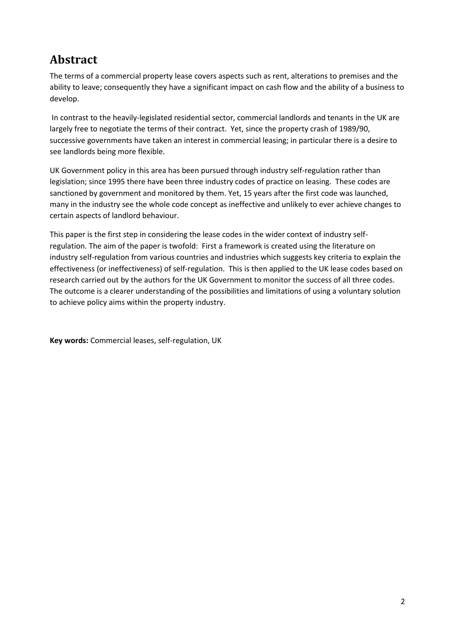# **Abstract**

The terms of a commercial property lease covers aspects such as rent, alterations to premises and the ability to leave; consequently they have a significant impact on cash flow and the ability of a business to develop.

In contrast to the heavily-legislated residential sector, commercial landlords and tenants in the UK are largely free to negotiate the terms of their contract. Yet, since the property crash of 1989/90, successive governments have taken an interest in commercial leasing; in particular there is a desire to see landlords being more flexible.

UK Government policy in this area has been pursued through industry self-regulation rather than legislation; since 1995 there have been three industry codes of practice on leasing. These codes are sanctioned by government and monitored by them. Yet, 15 years after the first code was launched, many in the industry see the whole code concept as ineffective and unlikely to ever achieve changes to certain aspects of landlord behaviour.

This paper is the first step in considering the lease codes in the wider context of industry selfregulation. The aim of the paper is twofold: First a framework is created using the literature on industry self-regulation from various countries and industries which suggests key criteria to explain the effectiveness (or ineffectiveness) of self-regulation. This is then applied to the UK lease codes based on research carried out by the authors for the UK Government to monitor the success of all three codes. The outcome is a clearer understanding of the possibilities and limitations of using a voluntary solution to achieve policy aims within the property industry.

**Key words:** Commercial leases, self-regulation, UK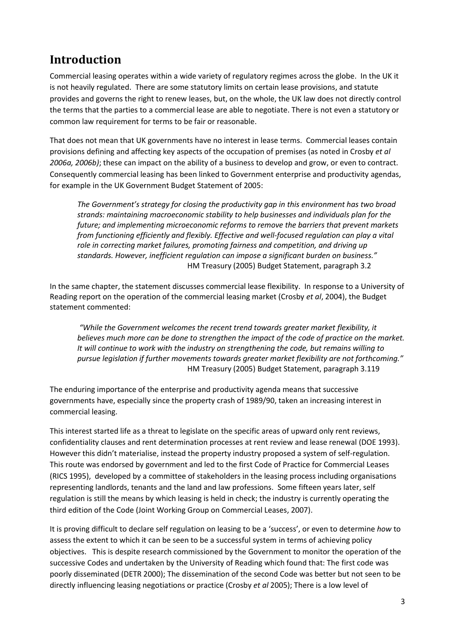# **Introduction**

Commercial leasing operates within a wide variety of regulatory regimes across the globe. In the UK it is not heavily regulated. There are some statutory limits on certain lease provisions, and statute provides and governs the right to renew leases, but, on the whole, the UK law does not directly control the terms that the parties to a commercial lease are able to negotiate. There is not even a statutory or common law requirement for terms to be fair or reasonable.

That does not mean that UK governments have no interest in lease terms. Commercial leases contain provisions defining and affecting key aspects of the occupation of premises (as noted in Crosby *et al 2006a, 2006b)*; these can impact on the ability of a business to develop and grow, or even to contract. Consequently commercial leasing has been linked to Government enterprise and productivity agendas, for example in the UK Government Budget Statement of 2005:

*The Government's strategy for closing the productivity gap in this environment has two broad strands: maintaining macroeconomic stability to help businesses and individuals plan for the future; and implementing microeconomic reforms to remove the barriers that prevent markets from functioning efficiently and flexibly. Effective and well-focused regulation can play a vital role in correcting market failures, promoting fairness and competition, and driving up standards. However, inefficient regulation can impose a significant burden on business."*  HM Treasury (2005) Budget Statement, paragraph 3.2

In the same chapter, the statement discusses commercial lease flexibility. In response to a University of Reading report on the operation of the commercial leasing market (Crosby *et al*, 2004), the Budget statement commented:

*"While the Government welcomes the recent trend towards greater market flexibility, it believes much more can be done to strengthen the impact of the code of practice on the market. It will continue to work with the industry on strengthening the code, but remains willing to pursue legislation if further movements towards greater market flexibility are not forthcoming."* HM Treasury (2005) Budget Statement, paragraph 3.119

The enduring importance of the enterprise and productivity agenda means that successive governments have, especially since the property crash of 1989/90, taken an increasing interest in commercial leasing.

This interest started life as a threat to legislate on the specific areas of upward only rent reviews, confidentiality clauses and rent determination processes at rent review and lease renewal (DOE 1993). However this didn't materialise, instead the property industry proposed a system of self-regulation. This route was endorsed by government and led to the first Code of Practice for Commercial Leases (RICS 1995), developed by a committee of stakeholders in the leasing process including organisations representing landlords, tenants and the land and law professions. Some fifteen years later, self regulation is still the means by which leasing is held in check; the industry is currently operating the third edition of the Code (Joint Working Group on Commercial Leases, 2007).

It is proving difficult to declare self regulation on leasing to be a 'success', or even to determine *how* to assess the extent to which it can be seen to be a successful system in terms of achieving policy objectives. This is despite research commissioned by the Government to monitor the operation of the successive Codes and undertaken by the University of Reading which found that: The first code was poorly disseminated (DETR 2000); The dissemination of the second Code was better but not seen to be directly influencing leasing negotiations or practice (Crosby *et al* 2005); There is a low level of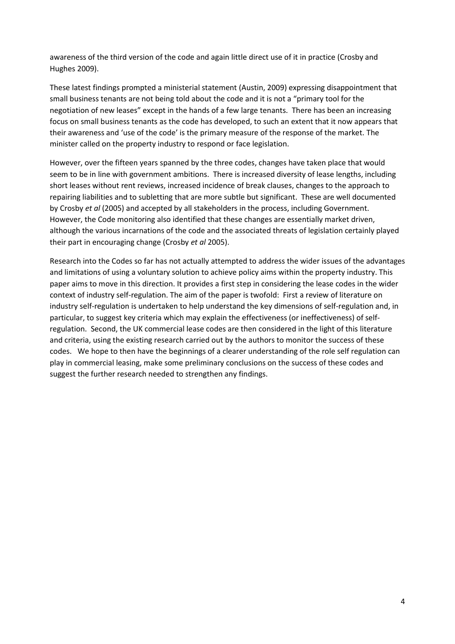awareness of the third version of the code and again little direct use of it in practice (Crosby and Hughes 2009).

These latest findings prompted a ministerial statement (Austin, 2009) expressing disappointment that small business tenants are not being told about the code and it is not a "primary tool for the negotiation of new leases" except in the hands of a few large tenants. There has been an increasing focus on small business tenants as the code has developed, to such an extent that it now appears that their awareness and 'use of the code' is the primary measure of the response of the market. The minister called on the property industry to respond or face legislation.

However, over the fifteen years spanned by the three codes, changes have taken place that would seem to be in line with government ambitions. There is increased diversity of lease lengths, including short leases without rent reviews, increased incidence of break clauses, changes to the approach to repairing liabilities and to subletting that are more subtle but significant. These are well documented by Crosby *et al* (2005) and accepted by all stakeholders in the process, including Government. However, the Code monitoring also identified that these changes are essentially market driven, although the various incarnations of the code and the associated threats of legislation certainly played their part in encouraging change (Crosby *et al* 2005).

Research into the Codes so far has not actually attempted to address the wider issues of the advantages and limitations of using a voluntary solution to achieve policy aims within the property industry. This paper aims to move in this direction. It provides a first step in considering the lease codes in the wider context of industry self-regulation. The aim of the paper is twofold: First a review of literature on industry self-regulation is undertaken to help understand the key dimensions of self-regulation and, in particular, to suggest key criteria which may explain the effectiveness (or ineffectiveness) of selfregulation. Second, the UK commercial lease codes are then considered in the light of this literature and criteria, using the existing research carried out by the authors to monitor the success of these codes. We hope to then have the beginnings of a clearer understanding of the role self regulation can play in commercial leasing, make some preliminary conclusions on the success of these codes and suggest the further research needed to strengthen any findings.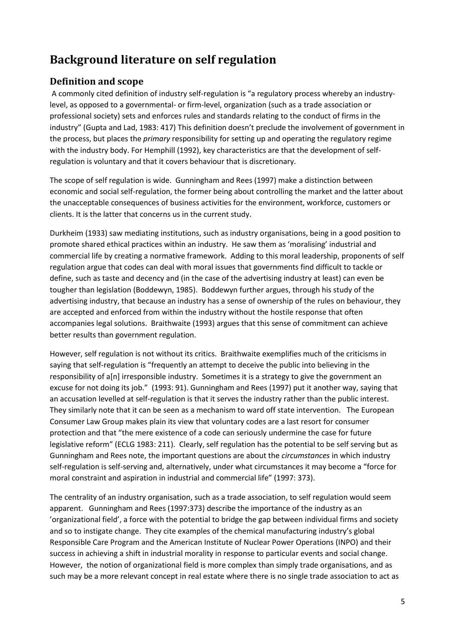# **Background literature on self regulation**

#### **Definition and scope**

A commonly cited definition of industry self-regulation is "a regulatory process whereby an industrylevel, as opposed to a governmental- or firm-level, organization (such as a trade association or professional society) sets and enforces rules and standards relating to the conduct of firms in the industry" (Gupta and Lad, 1983: 417) This definition doesn't preclude the involvement of government in the process, but places the *primary* responsibility for setting up and operating the regulatory regime with the industry body. For Hemphill (1992), key characteristics are that the development of selfregulation is voluntary and that it covers behaviour that is discretionary.

The scope of self regulation is wide. Gunningham and Rees (1997) make a distinction between economic and social self-regulation, the former being about controlling the market and the latter about the unacceptable consequences of business activities for the environment, workforce, customers or clients. It is the latter that concerns us in the current study.

Durkheim (1933) saw mediating institutions, such as industry organisations, being in a good position to promote shared ethical practices within an industry. He saw them as 'moralising' industrial and commercial life by creating a normative framework. Adding to this moral leadership, proponents of self regulation argue that codes can deal with moral issues that governments find difficult to tackle or define, such as taste and decency and (in the case of the advertising industry at least) can even be tougher than legislation (Boddewyn, 1985). Boddewyn further argues, through his study of the advertising industry, that because an industry has a sense of ownership of the rules on behaviour, they are accepted and enforced from within the industry without the hostile response that often accompanies legal solutions. Braithwaite (1993) argues that this sense of commitment can achieve better results than government regulation.

However, self regulation is not without its critics. Braithwaite exemplifies much of the criticisms in saying that self-regulation is "frequently an attempt to deceive the public into believing in the responsibility of a[n] irresponsible industry. Sometimes it is a strategy to give the government an excuse for not doing its job." (1993: 91). Gunningham and Rees (1997) put it another way, saying that an accusation levelled at self-regulation is that it serves the industry rather than the public interest. They similarly note that it can be seen as a mechanism to ward off state intervention. The European Consumer Law Group makes plain its view that voluntary codes are a last resort for consumer protection and that "the mere existence of a code can seriously undermine the case for future legislative reform" (ECLG 1983: 211). Clearly, self regulation has the potential to be self serving but as Gunningham and Rees note, the important questions are about the *circumstances* in which industry self-regulation is self-serving and, alternatively, under what circumstances it may become a "force for moral constraint and aspiration in industrial and commercial life" (1997: 373).

The centrality of an industry organisation, such as a trade association, to self regulation would seem apparent. Gunningham and Rees (1997:373) describe the importance of the industry as an 'organizational field', a force with the potential to bridge the gap between individual firms and society and so to instigate change. They cite examples of the chemical manufacturing industry's global Responsible Care Program and the American Institute of Nuclear Power Operations (INPO) and their success in achieving a shift in industrial morality in response to particular events and social change. However, the notion of organizational field is more complex than simply trade organisations, and as such may be a more relevant concept in real estate where there is no single trade association to act as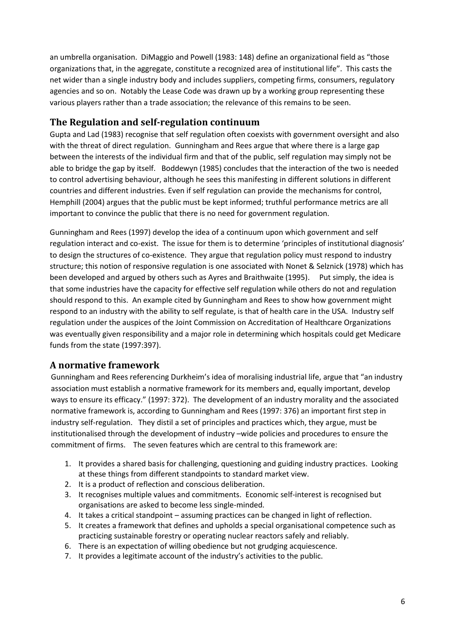an umbrella organisation. DiMaggio and Powell (1983: 148) define an organizational field as "those organizations that, in the aggregate, constitute a recognized area of institutional life". This casts the net wider than a single industry body and includes suppliers, competing firms, consumers, regulatory agencies and so on. Notably the Lease Code was drawn up by a working group representing these various players rather than a trade association; the relevance of this remains to be seen.

#### **The Regulation and self-regulation continuum**

Gupta and Lad (1983) recognise that self regulation often coexists with government oversight and also with the threat of direct regulation. Gunningham and Rees argue that where there is a large gap between the interests of the individual firm and that of the public, self regulation may simply not be able to bridge the gap by itself. Boddewyn (1985) concludes that the interaction of the two is needed to control advertising behaviour, although he sees this manifesting in different solutions in different countries and different industries. Even if self regulation can provide the mechanisms for control, Hemphill (2004) argues that the public must be kept informed; truthful performance metrics are all important to convince the public that there is no need for government regulation.

Gunningham and Rees (1997) develop the idea of a continuum upon which government and self regulation interact and co-exist. The issue for them is to determine 'principles of institutional diagnosis' to design the structures of co-existence. They argue that regulation policy must respond to industry structure; this notion of responsive regulation is one associated with Nonet & Selznick (1978) which has been developed and argued by others such as Ayres and Braithwaite (1995). Put simply, the idea is that some industries have the capacity for effective self regulation while others do not and regulation should respond to this. An example cited by Gunningham and Rees to show how government might respond to an industry with the ability to self regulate, is that of health care in the USA. Industry self regulation under the auspices of the Joint Commission on Accreditation of Healthcare Organizations was eventually given responsibility and a major role in determining which hospitals could get Medicare funds from the state (1997:397).

#### **A normative framework**

Gunningham and Rees referencing Durkheim's idea of moralising industrial life, argue that "an industry association must establish a normative framework for its members and, equally important, develop ways to ensure its efficacy." (1997: 372). The development of an industry morality and the associated normative framework is, according to Gunningham and Rees (1997: 376) an important first step in industry self-regulation. They distil a set of principles and practices which, they argue, must be institutionalised through the development of industry –wide policies and procedures to ensure the commitment of firms. The seven features which are central to this framework are:

- 1. It provides a shared basis for challenging, questioning and guiding industry practices. Looking at these things from different standpoints to standard market view.
- 2. It is a product of reflection and conscious deliberation.
- 3. It recognises multiple values and commitments. Economic self-interest is recognised but organisations are asked to become less single-minded.
- 4. It takes a critical standpoint assuming practices can be changed in light of reflection.
- 5. It creates a framework that defines and upholds a special organisational competence such as practicing sustainable forestry or operating nuclear reactors safely and reliably.
- 6. There is an expectation of willing obedience but not grudging acquiescence.
- 7. It provides a legitimate account of the industry's activities to the public.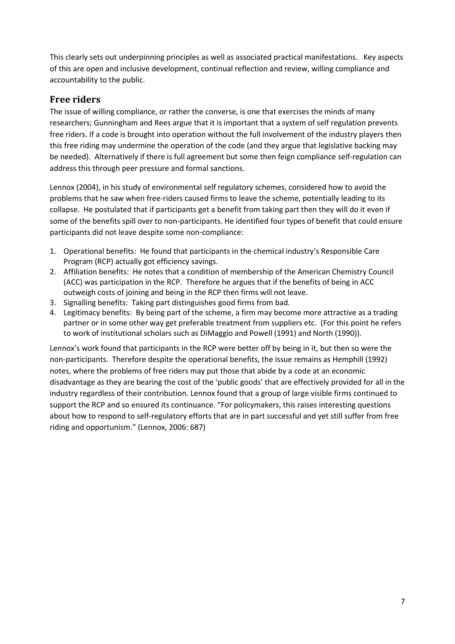This clearly sets out underpinning principles as well as associated practical manifestations. Key aspects of this are open and inclusive development, continual reflection and review, willing compliance and accountability to the public.

## **Free riders**

The issue of willing compliance, or rather the converse, is one that exercises the minds of many researchers; Gunningham and Rees argue that it is important that a system of self regulation prevents free riders. If a code is brought into operation without the full involvement of the industry players then this free riding may undermine the operation of the code (and they argue that legislative backing may be needed). Alternatively if there is full agreement but some then feign compliance self-regulation can address this through peer pressure and formal sanctions.

Lennox (2004), in his study of environmental self regulatory schemes, considered how to avoid the problems that he saw when free-riders caused firms to leave the scheme, potentially leading to its collapse. He postulated that if participants get a benefit from taking part then they will do it even if some of the benefits spill over to non-participants. He identified four types of benefit that could ensure participants did not leave despite some non-compliance:

- 1. Operational benefits: He found that participants in the chemical industry's Responsible Care Program (RCP) actually got efficiency savings.
- 2. Affiliation benefits: He notes that a condition of membership of the American Chemistry Council (ACC) was participation in the RCP. Therefore he argues that if the benefits of being in ACC outweigh costs of joining and being in the RCP then firms will not leave.
- 3. Signalling benefits: Taking part distinguishes good firms from bad.
- 4. Legitimacy benefits: By being part of the scheme, a firm may become more attractive as a trading partner or in some other way get preferable treatment from suppliers etc. (For this point he refers to work of institutional scholars such as DiMaggio and Powell (1991) and North (1990)).

Lennox's work found that participants in the RCP were better off by being in it, but then so were the non-participants. Therefore despite the operational benefits, the issue remains as Hemphill (1992) notes, where the problems of free riders may put those that abide by a code at an economic disadvantage as they are bearing the cost of the 'public goods' that are effectively provided for all in the industry regardless of their contribution. Lennox found that a group of large visible firms continued to support the RCP and so ensured its continuance. "For policymakers, this raises interesting questions about how to respond to self-regulatory efforts that are in part successful and yet still suffer from free riding and opportunism." (Lennox, 2006: 687)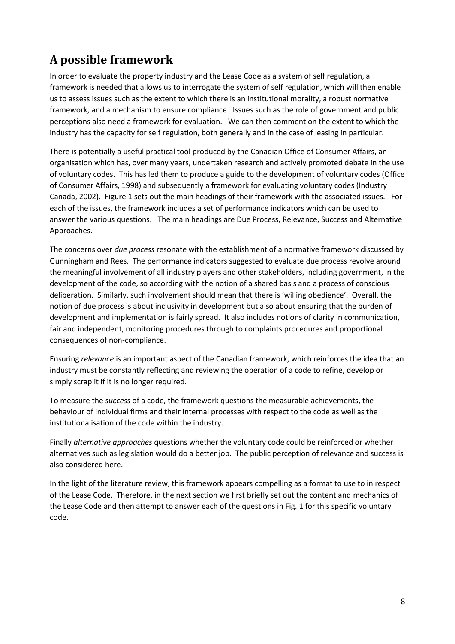# **A possible framework**

In order to evaluate the property industry and the Lease Code as a system of self regulation, a framework is needed that allows us to interrogate the system of self regulation, which will then enable us to assess issues such as the extent to which there is an institutional morality, a robust normative framework, and a mechanism to ensure compliance. Issues such as the role of government and public perceptions also need a framework for evaluation. We can then comment on the extent to which the industry has the capacity for self regulation, both generally and in the case of leasing in particular.

There is potentially a useful practical tool produced by the Canadian Office of Consumer Affairs, an organisation which has, over many years, undertaken research and actively promoted debate in the use of voluntary codes. This has led them to produce a guide to the development of voluntary codes (Office of Consumer Affairs, 1998) and subsequently a framework for evaluating voluntary codes (Industry Canada, 2002). Figure 1 sets out the main headings of their framework with the associated issues. For each of the issues, the framework includes a set of performance indicators which can be used to answer the various questions. The main headings are Due Process, Relevance, Success and Alternative Approaches.

The concerns over *due process* resonate with the establishment of a normative framework discussed by Gunningham and Rees. The performance indicators suggested to evaluate due process revolve around the meaningful involvement of all industry players and other stakeholders, including government, in the development of the code, so according with the notion of a shared basis and a process of conscious deliberation. Similarly, such involvement should mean that there is 'willing obedience'. Overall, the notion of due process is about inclusivity in development but also about ensuring that the burden of development and implementation is fairly spread. It also includes notions of clarity in communication, fair and independent, monitoring procedures through to complaints procedures and proportional consequences of non-compliance.

Ensuring *relevance* is an important aspect of the Canadian framework, which reinforces the idea that an industry must be constantly reflecting and reviewing the operation of a code to refine, develop or simply scrap it if it is no longer required.

To measure the *success* of a code, the framework questions the measurable achievements, the behaviour of individual firms and their internal processes with respect to the code as well as the institutionalisation of the code within the industry.

Finally *alternative approaches* questions whether the voluntary code could be reinforced or whether alternatives such as legislation would do a better job. The public perception of relevance and success is also considered here.

In the light of the literature review, this framework appears compelling as a format to use to in respect of the Lease Code. Therefore, in the next section we first briefly set out the content and mechanics of the Lease Code and then attempt to answer each of the questions in Fig. 1 for this specific voluntary code.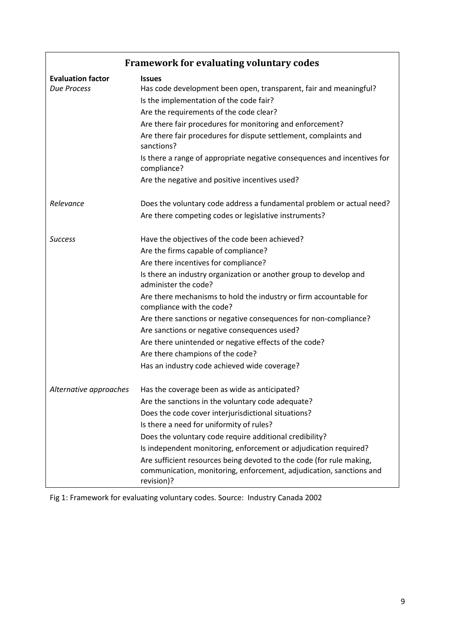|                          | <b>Framework for evaluating voluntary codes</b>                                                |
|--------------------------|------------------------------------------------------------------------------------------------|
| <b>Evaluation factor</b> | <b>Issues</b>                                                                                  |
| <b>Due Process</b>       | Has code development been open, transparent, fair and meaningful?                              |
|                          | Is the implementation of the code fair?                                                        |
|                          | Are the requirements of the code clear?                                                        |
|                          | Are there fair procedures for monitoring and enforcement?                                      |
|                          | Are there fair procedures for dispute settlement, complaints and<br>sanctions?                 |
|                          | Is there a range of appropriate negative consequences and incentives for<br>compliance?        |
|                          | Are the negative and positive incentives used?                                                 |
| Relevance                | Does the voluntary code address a fundamental problem or actual need?                          |
|                          | Are there competing codes or legislative instruments?                                          |
| <b>Success</b>           | Have the objectives of the code been achieved?                                                 |
|                          | Are the firms capable of compliance?                                                           |
|                          | Are there incentives for compliance?                                                           |
|                          | Is there an industry organization or another group to develop and<br>administer the code?      |
|                          | Are there mechanisms to hold the industry or firm accountable for<br>compliance with the code? |
|                          | Are there sanctions or negative consequences for non-compliance?                               |
|                          | Are sanctions or negative consequences used?                                                   |
|                          | Are there unintended or negative effects of the code?                                          |
|                          | Are there champions of the code?                                                               |
|                          | Has an industry code achieved wide coverage?                                                   |
| Alternative approaches   | Has the coverage been as wide as anticipated?                                                  |
|                          | Are the sanctions in the voluntary code adequate?                                              |
|                          | Does the code cover interjurisdictional situations?                                            |
|                          | Is there a need for uniformity of rules?                                                       |
|                          | Does the voluntary code require additional credibility?                                        |
|                          | Is independent monitoring, enforcement or adjudication required?                               |
|                          | Are sufficient resources being devoted to the code (for rule making,                           |
|                          | communication, monitoring, enforcement, adjudication, sanctions and<br>revision)?              |

Fig 1: Framework for evaluating voluntary codes. Source: Industry Canada 2002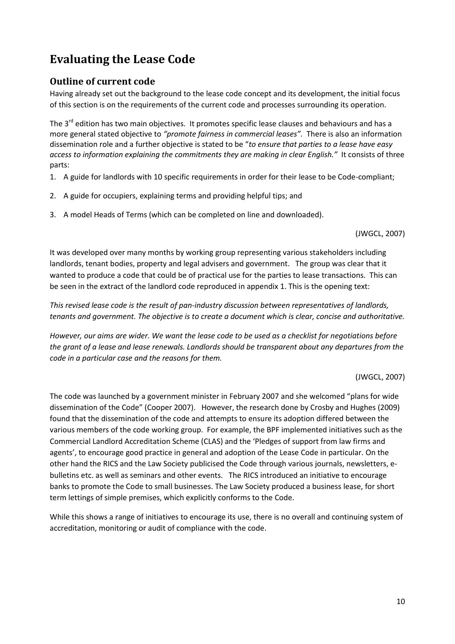# **Evaluating the Lease Code**

### **Outline of current code**

Having already set out the background to the lease code concept and its development, the initial focus of this section is on the requirements of the current code and processes surrounding its operation.

The 3<sup>rd</sup> edition has two main objectives. It promotes specific lease clauses and behaviours and has a more general stated objective to *"promote fairness in commercial leases".* There is also an information dissemination role and a further objective is stated to be "*to ensure that parties to a lease have easy access to information explaining the commitments they are making in clear English."* It consists of three parts:

- 1. A guide for landlords with 10 specific requirements in order for their lease to be Code-compliant;
- 2. A guide for occupiers, explaining terms and providing helpful tips; and
- 3. A model Heads of Terms (which can be completed on line and downloaded).

(JWGCL, 2007)

It was developed over many months by working group representing various stakeholders including landlords, tenant bodies, property and legal advisers and government. The group was clear that it wanted to produce a code that could be of practical use for the parties to lease transactions. This can be seen in the extract of the landlord code reproduced in appendix 1. This is the opening text:

*This revised lease code is the result of pan-industry discussion between representatives of landlords, tenants and government. The objective is to create a document which is clear, concise and authoritative.* 

*However, our aims are wider. We want the lease code to be used as a checklist for negotiations before the grant of a lease and lease renewals. Landlords should be transparent about any departures from the code in a particular case and the reasons for them.* 

(JWGCL, 2007)

The code was launched by a government minister in February 2007 and she welcomed "plans for wide dissemination of the Code" (Cooper 2007). However, the research done by Crosby and Hughes (2009) found that the dissemination of the code and attempts to ensure its adoption differed between the various members of the code working group. For example, the BPF implemented initiatives such as the Commercial Landlord Accreditation Scheme (CLAS) and the 'Pledges of support from law firms and agents', to encourage good practice in general and adoption of the Lease Code in particular. On the other hand the RICS and the Law Society publicised the Code through various journals, newsletters, ebulletins etc. as well as seminars and other events. The RICS introduced an initiative to encourage banks to promote the Code to small businesses. The Law Society produced a business lease, for short term lettings of simple premises, which explicitly conforms to the Code.

While this shows a range of initiatives to encourage its use, there is no overall and continuing system of accreditation, monitoring or audit of compliance with the code.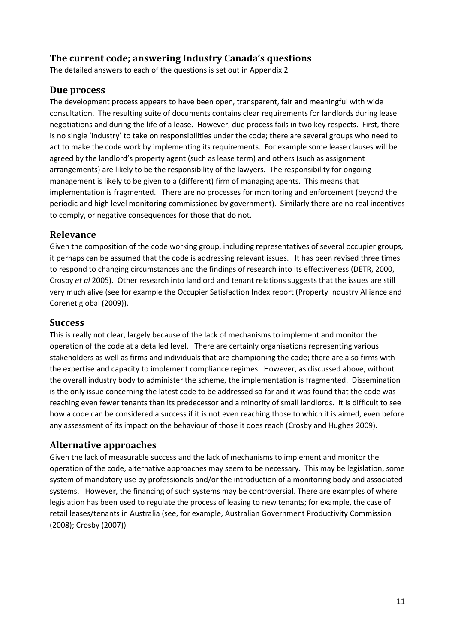## **The current code; answering Industry Canada's questions**

The detailed answers to each of the questions is set out in Appendix 2

## **Due process**

The development process appears to have been open, transparent, fair and meaningful with wide consultation. The resulting suite of documents contains clear requirements for landlords during lease negotiations and during the life of a lease. However, due process fails in two key respects. First, there is no single 'industry' to take on responsibilities under the code; there are several groups who need to act to make the code work by implementing its requirements. For example some lease clauses will be agreed by the landlord's property agent (such as lease term) and others (such as assignment arrangements) are likely to be the responsibility of the lawyers. The responsibility for ongoing management is likely to be given to a (different) firm of managing agents. This means that implementation is fragmented. There are no processes for monitoring and enforcement (beyond the periodic and high level monitoring commissioned by government). Similarly there are no real incentives to comply, or negative consequences for those that do not.

## **Relevance**

Given the composition of the code working group, including representatives of several occupier groups, it perhaps can be assumed that the code is addressing relevant issues. It has been revised three times to respond to changing circumstances and the findings of research into its effectiveness (DETR, 2000, Crosby *et al* 2005). Other research into landlord and tenant relations suggests that the issues are still very much alive (see for example the Occupier Satisfaction Index report (Property Industry Alliance and Corenet global (2009)).

#### **Success**

This is really not clear, largely because of the lack of mechanisms to implement and monitor the operation of the code at a detailed level. There are certainly organisations representing various stakeholders as well as firms and individuals that are championing the code; there are also firms with the expertise and capacity to implement compliance regimes. However, as discussed above, without the overall industry body to administer the scheme, the implementation is fragmented. Dissemination is the only issue concerning the latest code to be addressed so far and it was found that the code was reaching even fewer tenants than its predecessor and a minority of small landlords. It is difficult to see how a code can be considered a success if it is not even reaching those to which it is aimed, even before any assessment of its impact on the behaviour of those it does reach (Crosby and Hughes 2009).

### **Alternative approaches**

Given the lack of measurable success and the lack of mechanisms to implement and monitor the operation of the code, alternative approaches may seem to be necessary. This may be legislation, some system of mandatory use by professionals and/or the introduction of a monitoring body and associated systems. However, the financing of such systems may be controversial. There are examples of where legislation has been used to regulate the process of leasing to new tenants; for example, the case of retail leases/tenants in Australia (see, for example, Australian Government Productivity Commission (2008); Crosby (2007))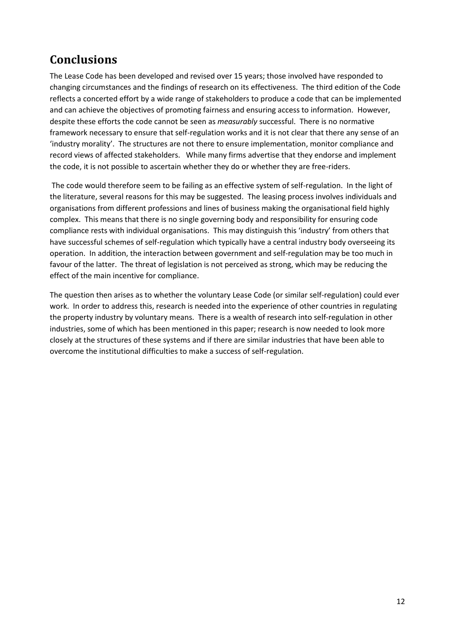# **Conclusions**

The Lease Code has been developed and revised over 15 years; those involved have responded to changing circumstances and the findings of research on its effectiveness. The third edition of the Code reflects a concerted effort by a wide range of stakeholders to produce a code that can be implemented and can achieve the objectives of promoting fairness and ensuring access to information. However, despite these efforts the code cannot be seen as *measurably* successful. There is no normative framework necessary to ensure that self-regulation works and it is not clear that there any sense of an 'industry morality'. The structures are not there to ensure implementation, monitor compliance and record views of affected stakeholders. While many firms advertise that they endorse and implement the code, it is not possible to ascertain whether they do or whether they are free-riders.

The code would therefore seem to be failing as an effective system of self-regulation. In the light of the literature, several reasons for this may be suggested. The leasing process involves individuals and organisations from different professions and lines of business making the organisational field highly complex. This means that there is no single governing body and responsibility for ensuring code compliance rests with individual organisations. This may distinguish this 'industry' from others that have successful schemes of self-regulation which typically have a central industry body overseeing its operation. In addition, the interaction between government and self-regulation may be too much in favour of the latter. The threat of legislation is not perceived as strong, which may be reducing the effect of the main incentive for compliance.

The question then arises as to whether the voluntary Lease Code (or similar self-regulation) could ever work. In order to address this, research is needed into the experience of other countries in regulating the property industry by voluntary means. There is a wealth of research into self-regulation in other industries, some of which has been mentioned in this paper; research is now needed to look more closely at the structures of these systems and if there are similar industries that have been able to overcome the institutional difficulties to make a success of self-regulation.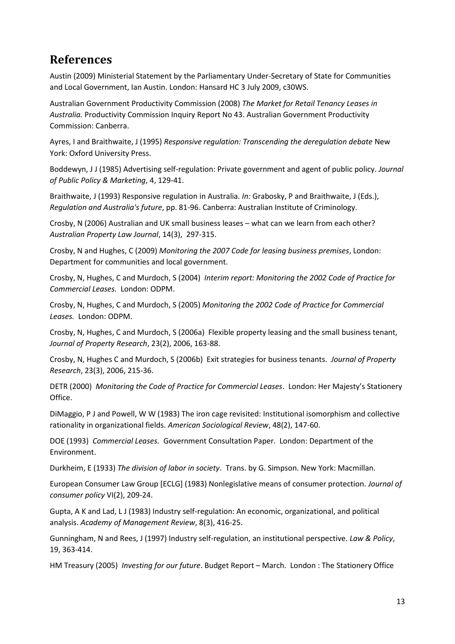## **References**

Austin (2009) Ministerial Statement by the Parliamentary Under-Secretary of State for Communities and Local Government, Ian Austin. London: Hansard HC 3 July 2009, c30WS.

Australian Government Productivity Commission (2008) *The Market for Retail Tenancy Leases in Australia.* Productivity Commission Inquiry Report No 43. Australian Government Productivity Commission: Canberra.

Ayres, I and Braithwaite, J (1995) *Responsive regulation: Transcending the deregulation debate* New York: Oxford University Press.

Boddewyn, J J (1985) Advertising self-regulation: Private government and agent of public policy. *Journal of Public Policy & Marketing*, 4, 129-41.

Braithwaite, J (1993) Responsive regulation in Australia. *In:* Grabosky, P and Braithwaite, J (Eds.), *Regulation and Australia's future*, pp. 81-96. Canberra: Australian Institute of Criminology.

Crosby, N (2006) Australian and UK small business leases – what can we learn from each other? *Australian Property Law Journal*, 14(3), 297-315.

Crosby, N and Hughes, C (2009) *Monitoring the 2007 Code for leasing business premises*, London: Department for communities and local government.

Crosby, N, Hughes, C and Murdoch, S (2004) *Interim report: Monitoring the 2002 Code of Practice for Commercial Leases.* London: ODPM.

Crosby, N, Hughes, C and Murdoch, S (2005) *Monitoring the 2002 Code of Practice for Commercial Leases.* London: ODPM.

Crosby, N, Hughes, C and Murdoch, S (2006a) Flexible property leasing and the small business tenant, *Journal of Property Research*, 23(2), 2006, 163-88.

Crosby, N, Hughes C and Murdoch, S (2006b) Exit strategies for business tenants. *Journal of Property Research*, 23(3), 2006, 215-36.

DETR (2000) *Monitoring the Code of Practice for Commercial Leases*. London: Her Majesty's Stationery Office.

DiMaggio, P J and Powell, W W (1983) The iron cage revisited: Institutional isomorphism and collective rationality in organizational fields. *American Sociological Review*, 48(2), 147-60.

DOE (1993) *Commercial Leases.* Government Consultation Paper. London: Department of the Environment.

Durkheim, E (1933) *The division of labor in society*. Trans. by G. Simpson. New York: Macmillan.

European Consumer Law Group [ECLG] (1983) Nonlegislative means of consumer protection. *Journal of consumer policy* VI(2), 209-24.

Gupta, A K and Lad, L J (1983) Industry self-regulation: An economic, organizational, and political analysis. *Academy of Management Review*, 8(3), 416-25.

Gunningham, N and Rees, J (1997) Industry self-regulation, an institutional perspective. *Law & Policy*, 19, 363-414.

HM Treasury (2005) *Investing for our future*. Budget Report – March. London : The Stationery Office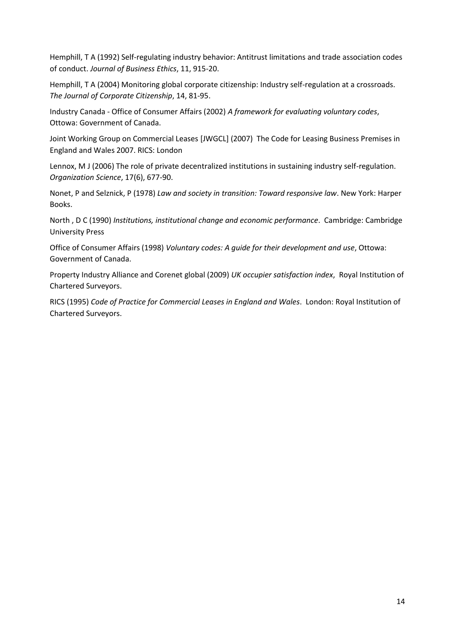Hemphill, T A (1992) Self-regulating industry behavior: Antitrust limitations and trade association codes of conduct. *Journal of Business Ethics*, 11, 915-20.

Hemphill, T A (2004) Monitoring global corporate citizenship: Industry self-regulation at a crossroads. *The Journal of Corporate Citizenship*, 14, 81-95.

Industry Canada - Office of Consumer Affairs (2002) *A framework for evaluating voluntary codes*, Ottowa: Government of Canada.

Joint Working Group on Commercial Leases [JWGCL] (2007) The Code for Leasing Business Premises in England and Wales 2007. RICS: London

Lennox, M J (2006) The role of private decentralized institutions in sustaining industry self-regulation. *Organization Science*, 17(6), 677-90.

Nonet, P and Selznick, P (1978) *Law and society in transition: Toward responsive law*. New York: Harper Books.

North , D C (1990) *Institutions, institutional change and economic performance*. Cambridge: Cambridge University Press

Office of Consumer Affairs (1998) *Voluntary codes: A guide for their development and use*, Ottowa: Government of Canada.

Property Industry Alliance and Corenet global (2009) *UK occupier satisfaction index*, Royal Institution of Chartered Surveyors.

RICS (1995) *Code of Practice for Commercial Leases in England and Wales*. London: Royal Institution of Chartered Surveyors.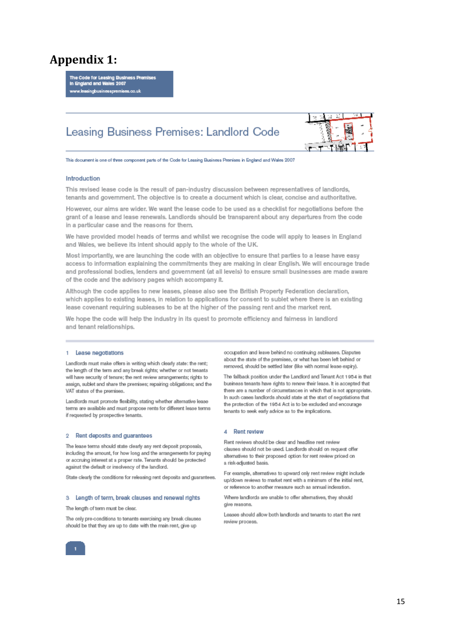## **Appendix 1:**

The Code for Leasing Business Premises<br>In England and Wales 2007 www.leasingbusinesspremises.co.uk

## Leasing Business Premises: Landlord Code



This document is one of three component parts of the Code for Leasing Business Premises in England and Wales 2007

#### Introduction

This revised lease code is the result of pan-industry discussion between representatives of landlords, tenants and government. The objective is to create a document which is clear, concise and authoritative.

However, our aims are wider. We want the lease code to be used as a checklist for negotiations before the grant of a lease and lease renewals, Landlords should be transparent about any departures from the code in a particular case and the reasons for them.

We have provided model heads of terms and whilst we recognise the code will apply to leases in England and Wales, we believe its intent should apply to the whole of the UK.

Most importantly, we are launching the code with an objective to ensure that parties to a lease have easy access to information explaining the commitments they are making in clear English. We will encourage trade and professional bodies, lenders and government (at all levels) to ensure small businesses are made aware of the code and the advisory pages which accompany it.

Although the code applies to new leases, please also see the British Property Federation declaration, which applies to existing leases, in relation to applications for consent to sublet where there is an existing lease covenant requiring subleases to be at the higher of the passing rent and the market rent.

We hope the code will help the industry in its quest to promote efficiency and fairness in landlord and tenant relationships.

#### Lease negotiations  $\mathbf{1}$

Landlords must make offers in writing which clearly state: the rent; the length of the term and any break rights; whether or not tenants will have security of tenure; the rent review arrangements; rights to assign, sublet and share the premises; repairing obligations; and the VAT status of the premises.

Landlords must promote flexibility, stating whether alternative lease terms are available and must propose rents for different lease terms if requested by prospective tenants.

#### 2 Rent deposits and guarantees

The lease terms should state clearly any rent deposit proposals, including the amount, for how long and the arrangements for paying or accruing interest at a proper rate. Tenants should be protected against the default or insolvency of the landlord.

State clearly the conditions for releasing rent deposits and quarantees.

#### 3 Length of term, break clauses and renewal rights

#### The length of term must be clear.

The only pre-conditions to tenants exercising any break clauses should be that they are up to date with the main rent, give up

occupation and leave behind no continuing subleases. Disputes about the state of the premises, or what has been left behind or removed, should be settled later (like with normal lease expiry).

The fallback position under the Landlord and Tenant Act 1954 is that business tenants have rights to renew their lease. It is accepted that there are a number of circumstances in which that is not appropriate. In such cases landlords should state at the start of negotiations that the protection of the 1954 Act is to be excluded and encourage tenants to seek early advice as to the implications.

#### 4 Rent review

Rent reviews should be clear and headline rent review clauses should not be used. Landlords should on request offer alternatives to their proposed option for rent review priced on a risk-adjusted basis.

For example, alternatives to upward only rent review might include up/down reviews to market rent with a minimum of the initial rent. or reference to another measure such as annual indexation.

Where landlords are unable to offer alternatives, they should give reasons.

Leases should allow both landlords and tenants to start the rent review process.

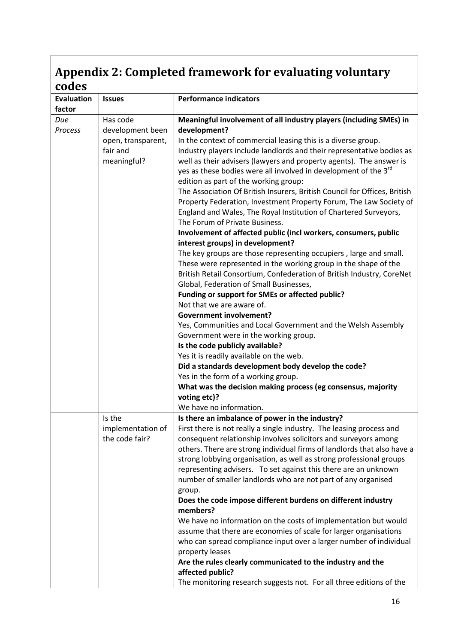# **Appendix 2: Completed framework for evaluating voluntary codes**

| <b>Evaluation</b><br>factor | <b>Issues</b>      | <b>Performance indicators</b>                                               |
|-----------------------------|--------------------|-----------------------------------------------------------------------------|
|                             |                    |                                                                             |
| Due                         | Has code           | Meaningful involvement of all industry players (including SMEs) in          |
| Process                     | development been   | development?                                                                |
|                             | open, transparent, | In the context of commercial leasing this is a diverse group.               |
|                             | fair and           | Industry players include landlords and their representative bodies as       |
|                             | meaningful?        | well as their advisers (lawyers and property agents). The answer is         |
|                             |                    | yes as these bodies were all involved in development of the 3 <sup>rd</sup> |
|                             |                    | edition as part of the working group:                                       |
|                             |                    | The Association Of British Insurers, British Council for Offices, British   |
|                             |                    | Property Federation, Investment Property Forum, The Law Society of          |
|                             |                    | England and Wales, The Royal Institution of Chartered Surveyors,            |
|                             |                    | The Forum of Private Business.                                              |
|                             |                    | Involvement of affected public (incl workers, consumers, public             |
|                             |                    | interest groups) in development?                                            |
|                             |                    | The key groups are those representing occupiers, large and small.           |
|                             |                    | These were represented in the working group in the shape of the             |
|                             |                    | British Retail Consortium, Confederation of British Industry, CoreNet       |
|                             |                    | Global, Federation of Small Businesses,                                     |
|                             |                    | Funding or support for SMEs or affected public?                             |
|                             |                    | Not that we are aware of.                                                   |
|                             |                    | <b>Government involvement?</b>                                              |
|                             |                    | Yes, Communities and Local Government and the Welsh Assembly                |
|                             |                    | Government were in the working group.                                       |
|                             |                    | Is the code publicly available?                                             |
|                             |                    | Yes it is readily available on the web.                                     |
|                             |                    | Did a standards development body develop the code?                          |
|                             |                    | Yes in the form of a working group.                                         |
|                             |                    | What was the decision making process (eg consensus, majority                |
|                             |                    | voting etc)?                                                                |
|                             |                    | We have no information.                                                     |
|                             | Is the             | Is there an imbalance of power in the industry?                             |
|                             | implementation of  | First there is not really a single industry. The leasing process and        |
|                             | the code fair?     | consequent relationship involves solicitors and surveyors among             |
|                             |                    | others. There are strong individual firms of landlords that also have a     |
|                             |                    | strong lobbying organisation, as well as strong professional groups         |
|                             |                    | representing advisers. To set against this there are an unknown             |
|                             |                    | number of smaller landlords who are not part of any organised               |
|                             |                    | group.                                                                      |
|                             |                    | Does the code impose different burdens on different industry                |
|                             |                    | members?                                                                    |
|                             |                    | We have no information on the costs of implementation but would             |
|                             |                    | assume that there are economies of scale for larger organisations           |
|                             |                    | who can spread compliance input over a larger number of individual          |
|                             |                    | property leases                                                             |
|                             |                    | Are the rules clearly communicated to the industry and the                  |
|                             |                    | affected public?                                                            |
|                             |                    | The monitoring research suggests not. For all three editions of the         |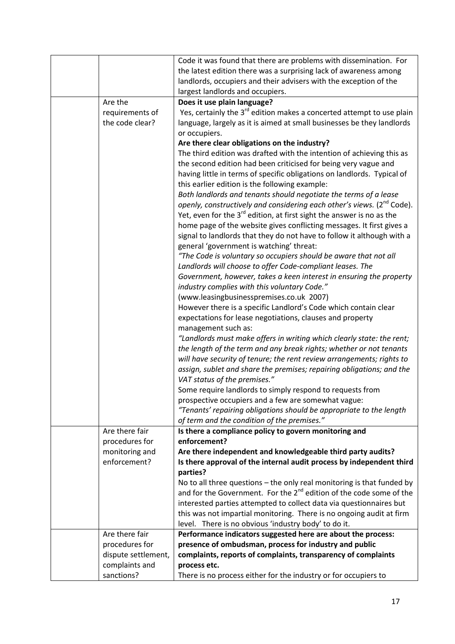|                                       | Code it was found that there are problems with dissemination. For                                                                                      |
|---------------------------------------|--------------------------------------------------------------------------------------------------------------------------------------------------------|
|                                       | the latest edition there was a surprising lack of awareness among                                                                                      |
|                                       | landlords, occupiers and their advisers with the exception of the                                                                                      |
|                                       | largest landlords and occupiers.                                                                                                                       |
| Are the                               | Does it use plain language?                                                                                                                            |
| requirements of                       | Yes, certainly the 3 <sup>rd</sup> edition makes a concerted attempt to use plain                                                                      |
| the code clear?                       | language, largely as it is aimed at small businesses be they landlords                                                                                 |
|                                       | or occupiers.                                                                                                                                          |
|                                       | Are there clear obligations on the industry?                                                                                                           |
|                                       | The third edition was drafted with the intention of achieving this as                                                                                  |
|                                       | the second edition had been criticised for being very vague and                                                                                        |
|                                       | having little in terms of specific obligations on landlords. Typical of                                                                                |
|                                       | this earlier edition is the following example:                                                                                                         |
|                                       | Both landlords and tenants should negotiate the terms of a lease<br>openly, constructively and considering each other's views. (2 <sup>nd</sup> Code). |
|                                       | Yet, even for the $3^{rd}$ edition, at first sight the answer is no as the                                                                             |
|                                       | home page of the website gives conflicting messages. It first gives a                                                                                  |
|                                       | signal to landlords that they do not have to follow it although with a                                                                                 |
|                                       | general 'government is watching' threat:                                                                                                               |
|                                       | "The Code is voluntary so occupiers should be aware that not all                                                                                       |
|                                       | Landlords will choose to offer Code-compliant leases. The                                                                                              |
|                                       | Government, however, takes a keen interest in ensuring the property                                                                                    |
|                                       | industry complies with this voluntary Code."                                                                                                           |
|                                       | (www.leasingbusinesspremises.co.uk 2007)                                                                                                               |
|                                       | However there is a specific Landlord's Code which contain clear                                                                                        |
|                                       | expectations for lease negotiations, clauses and property                                                                                              |
|                                       | management such as:                                                                                                                                    |
|                                       | "Landlords must make offers in writing which clearly state: the rent;                                                                                  |
|                                       | the length of the term and any break rights; whether or not tenants                                                                                    |
|                                       | will have security of tenure; the rent review arrangements; rights to                                                                                  |
|                                       | assign, sublet and share the premises; repairing obligations; and the<br>VAT status of the premises."                                                  |
|                                       | Some require landlords to simply respond to requests from                                                                                              |
|                                       | prospective occupiers and a few are somewhat vague:                                                                                                    |
|                                       | "Tenants' repairing obligations should be appropriate to the length                                                                                    |
|                                       | of term and the condition of the premises."                                                                                                            |
| Are there fair                        | Is there a compliance policy to govern monitoring and                                                                                                  |
| procedures for                        | enforcement?                                                                                                                                           |
| monitoring and                        | Are there independent and knowledgeable third party audits?                                                                                            |
| enforcement?                          | Is there approval of the internal audit process by independent third                                                                                   |
|                                       | parties?                                                                                                                                               |
|                                       | No to all three questions $-$ the only real monitoring is that funded by                                                                               |
|                                       | and for the Government. For the $2^{nd}$ edition of the code some of the                                                                               |
|                                       | interested parties attempted to collect data via questionnaires but                                                                                    |
|                                       | this was not impartial monitoring. There is no ongoing audit at firm                                                                                   |
|                                       | level. There is no obvious 'industry body' to do it.                                                                                                   |
| Are there fair                        | Performance indicators suggested here are about the process:                                                                                           |
| procedures for<br>dispute settlement, | presence of ombudsman, process for industry and public<br>complaints, reports of complaints, transparency of complaints                                |
| complaints and                        | process etc.                                                                                                                                           |
| sanctions?                            | There is no process either for the industry or for occupiers to                                                                                        |
|                                       |                                                                                                                                                        |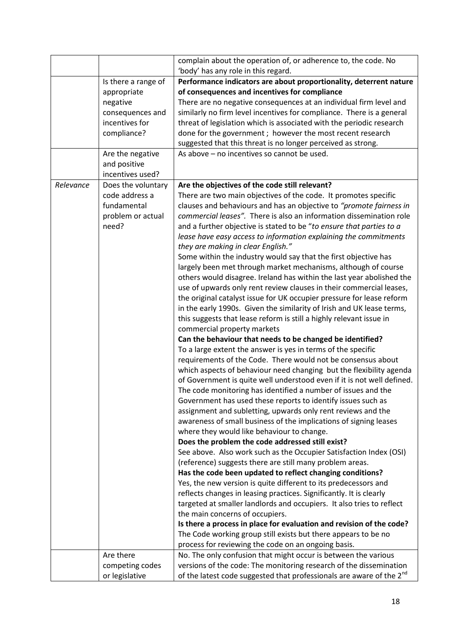|           |                     | complain about the operation of, or adherence to, the code. No<br>'body' has any role in this regard. |
|-----------|---------------------|-------------------------------------------------------------------------------------------------------|
|           | Is there a range of | Performance indicators are about proportionality, deterrent nature                                    |
|           | appropriate         | of consequences and incentives for compliance                                                         |
|           | negative            | There are no negative consequences at an individual firm level and                                    |
|           | consequences and    | similarly no firm level incentives for compliance. There is a general                                 |
|           | incentives for      | threat of legislation which is associated with the periodic research                                  |
|           | compliance?         | done for the government ; however the most recent research                                            |
|           |                     | suggested that this threat is no longer perceived as strong.                                          |
|           | Are the negative    | As above - no incentives so cannot be used.                                                           |
|           | and positive        |                                                                                                       |
|           | incentives used?    |                                                                                                       |
| Relevance | Does the voluntary  | Are the objectives of the code still relevant?                                                        |
|           | code address a      | There are two main objectives of the code. It promotes specific                                       |
|           | fundamental         | clauses and behaviours and has an objective to "promote fairness in                                   |
|           | problem or actual   | commercial leases". There is also an information dissemination role                                   |
|           | need?               | and a further objective is stated to be "to ensure that parties to a                                  |
|           |                     | lease have easy access to information explaining the commitments                                      |
|           |                     | they are making in clear English."                                                                    |
|           |                     | Some within the industry would say that the first objective has                                       |
|           |                     | largely been met through market mechanisms, although of course                                        |
|           |                     | others would disagree. Ireland has within the last year abolished the                                 |
|           |                     | use of upwards only rent review clauses in their commercial leases,                                   |
|           |                     | the original catalyst issue for UK occupier pressure for lease reform                                 |
|           |                     | in the early 1990s. Given the similarity of Irish and UK lease terms,                                 |
|           |                     | this suggests that lease reform is still a highly relevant issue in                                   |
|           |                     | commercial property markets                                                                           |
|           |                     | Can the behaviour that needs to be changed be identified?                                             |
|           |                     | To a large extent the answer is yes in terms of the specific                                          |
|           |                     | requirements of the Code. There would not be consensus about                                          |
|           |                     | which aspects of behaviour need changing but the flexibility agenda                                   |
|           |                     | of Government is quite well understood even if it is not well defined.                                |
|           |                     | The code monitoring has identified a number of issues and the                                         |
|           |                     | Government has used these reports to identify issues such as                                          |
|           |                     | assignment and subletting, upwards only rent reviews and the                                          |
|           |                     | awareness of small business of the implications of signing leases                                     |
|           |                     | where they would like behaviour to change.                                                            |
|           |                     | Does the problem the code addressed still exist?                                                      |
|           |                     | See above. Also work such as the Occupier Satisfaction Index (OSI)                                    |
|           |                     | (reference) suggests there are still many problem areas.                                              |
|           |                     | Has the code been updated to reflect changing conditions?                                             |
|           |                     | Yes, the new version is quite different to its predecessors and                                       |
|           |                     | reflects changes in leasing practices. Significantly. It is clearly                                   |
|           |                     | targeted at smaller landlords and occupiers. It also tries to reflect                                 |
|           |                     | the main concerns of occupiers.                                                                       |
|           |                     | Is there a process in place for evaluation and revision of the code?                                  |
|           |                     | The Code working group still exists but there appears to be no                                        |
|           |                     | process for reviewing the code on an ongoing basis.                                                   |
|           | Are there           | No. The only confusion that might occur is between the various                                        |
|           | competing codes     | versions of the code: The monitoring research of the dissemination                                    |
|           | or legislative      | of the latest code suggested that professionals are aware of the 2 <sup>nd</sup>                      |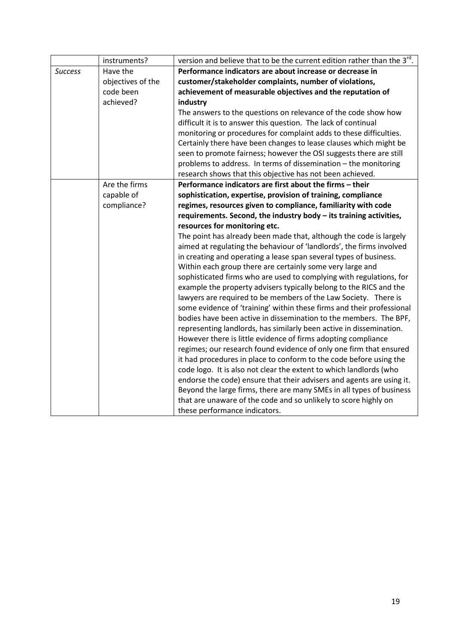|                | instruments?      | version and believe that to be the current edition rather than the 3 <sup>rd</sup> . |
|----------------|-------------------|--------------------------------------------------------------------------------------|
| <b>Success</b> | Have the          | Performance indicators are about increase or decrease in                             |
|                | objectives of the | customer/stakeholder complaints, number of violations,                               |
|                | code been         | achievement of measurable objectives and the reputation of                           |
|                | achieved?         | industry                                                                             |
|                |                   | The answers to the questions on relevance of the code show how                       |
|                |                   | difficult it is to answer this question. The lack of continual                       |
|                |                   | monitoring or procedures for complaint adds to these difficulties.                   |
|                |                   | Certainly there have been changes to lease clauses which might be                    |
|                |                   | seen to promote fairness; however the OSI suggests there are still                   |
|                |                   | problems to address. In terms of dissemination - the monitoring                      |
|                |                   | research shows that this objective has not been achieved.                            |
|                | Are the firms     | Performance indicators are first about the firms - their                             |
|                | capable of        | sophistication, expertise, provision of training, compliance                         |
|                | compliance?       | regimes, resources given to compliance, familiarity with code                        |
|                |                   | requirements. Second, the industry body - its training activities,                   |
|                |                   | resources for monitoring etc.                                                        |
|                |                   | The point has already been made that, although the code is largely                   |
|                |                   | aimed at regulating the behaviour of 'landlords', the firms involved                 |
|                |                   | in creating and operating a lease span several types of business.                    |
|                |                   | Within each group there are certainly some very large and                            |
|                |                   | sophisticated firms who are used to complying with regulations, for                  |
|                |                   | example the property advisers typically belong to the RICS and the                   |
|                |                   | lawyers are required to be members of the Law Society. There is                      |
|                |                   | some evidence of 'training' within these firms and their professional                |
|                |                   | bodies have been active in dissemination to the members. The BPF,                    |
|                |                   | representing landlords, has similarly been active in dissemination.                  |
|                |                   | However there is little evidence of firms adopting compliance                        |
|                |                   | regimes; our research found evidence of only one firm that ensured                   |
|                |                   | it had procedures in place to conform to the code before using the                   |
|                |                   | code logo. It is also not clear the extent to which landlords (who                   |
|                |                   | endorse the code) ensure that their advisers and agents are using it.                |
|                |                   | Beyond the large firms, there are many SMEs in all types of business                 |
|                |                   | that are unaware of the code and so unlikely to score highly on                      |
|                |                   | these performance indicators.                                                        |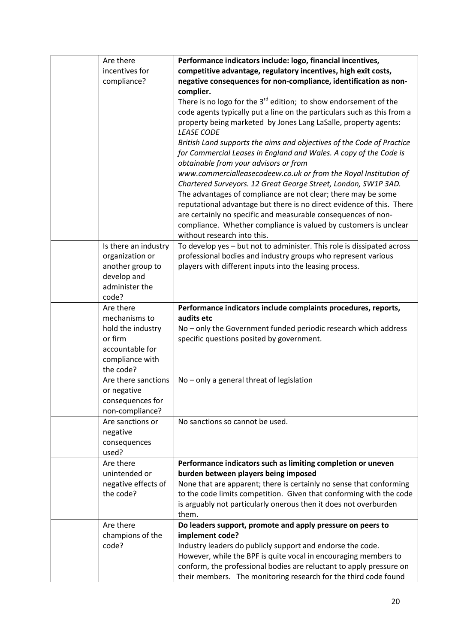| Are there                           | Performance indicators include: logo, financial incentives,                                                                             |
|-------------------------------------|-----------------------------------------------------------------------------------------------------------------------------------------|
| incentives for                      | competitive advantage, regulatory incentives, high exit costs,                                                                          |
| compliance?                         | negative consequences for non-compliance, identification as non-                                                                        |
|                                     | complier.                                                                                                                               |
|                                     | There is no logo for the $3^{rd}$ edition; to show endorsement of the                                                                   |
|                                     | code agents typically put a line on the particulars such as this from a                                                                 |
|                                     | property being marketed by Jones Lang LaSalle, property agents:                                                                         |
|                                     | <b>LEASE CODE</b>                                                                                                                       |
|                                     | British Land supports the aims and objectives of the Code of Practice                                                                   |
|                                     | for Commercial Leases in England and Wales. A copy of the Code is                                                                       |
|                                     | obtainable from your advisors or from                                                                                                   |
|                                     | www.commercialleasecodeew.co.uk or from the Royal Institution of                                                                        |
|                                     | Chartered Surveyors. 12 Great George Street, London, SW1P 3AD.                                                                          |
|                                     | The advantages of compliance are not clear; there may be some                                                                           |
|                                     | reputational advantage but there is no direct evidence of this. There                                                                   |
|                                     | are certainly no specific and measurable consequences of non-                                                                           |
|                                     | compliance. Whether compliance is valued by customers is unclear                                                                        |
|                                     | without research into this.                                                                                                             |
| Is there an industry                | To develop yes - but not to administer. This role is dissipated across                                                                  |
| organization or<br>another group to | professional bodies and industry groups who represent various<br>players with different inputs into the leasing process.                |
| develop and                         |                                                                                                                                         |
| administer the                      |                                                                                                                                         |
| code?                               |                                                                                                                                         |
| Are there                           | Performance indicators include complaints procedures, reports,                                                                          |
| mechanisms to                       | audits etc                                                                                                                              |
| hold the industry                   | No - only the Government funded periodic research which address                                                                         |
| or firm                             | specific questions posited by government.                                                                                               |
| accountable for                     |                                                                                                                                         |
| compliance with                     |                                                                                                                                         |
| the code?                           |                                                                                                                                         |
| Are there sanctions                 | No - only a general threat of legislation                                                                                               |
| or negative                         |                                                                                                                                         |
| consequences for                    |                                                                                                                                         |
| non-compliance?                     |                                                                                                                                         |
| Are sanctions or                    | No sanctions so cannot be used.                                                                                                         |
| negative                            |                                                                                                                                         |
| consequences                        |                                                                                                                                         |
| used?                               |                                                                                                                                         |
| Are there                           | Performance indicators such as limiting completion or uneven                                                                            |
| unintended or                       | burden between players being imposed                                                                                                    |
| negative effects of<br>the code?    | None that are apparent; there is certainly no sense that conforming                                                                     |
|                                     | to the code limits competition. Given that conforming with the code<br>is arguably not particularly onerous then it does not overburden |
|                                     | them.                                                                                                                                   |
| Are there                           | Do leaders support, promote and apply pressure on peers to                                                                              |
| champions of the                    | implement code?                                                                                                                         |
| code?                               | Industry leaders do publicly support and endorse the code.                                                                              |
|                                     | However, while the BPF is quite vocal in encouraging members to                                                                         |
|                                     | conform, the professional bodies are reluctant to apply pressure on                                                                     |
|                                     | their members. The monitoring research for the third code found                                                                         |